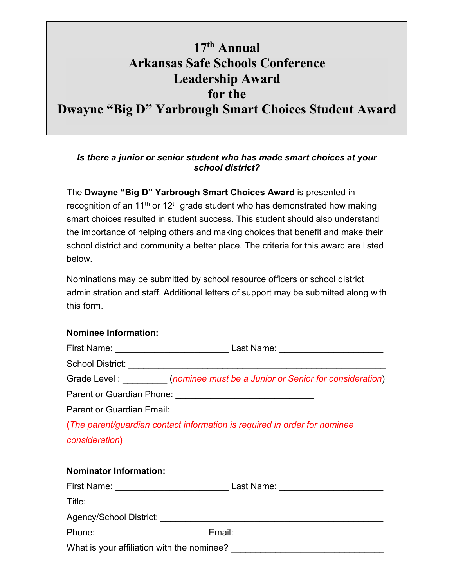## **17th Annual Arkansas Safe Schools Conference Leadership Award for the Dwayne "Big D" Yarbrough Smart Choices Student Award**

## *Is there a junior or senior student who has made smart choices at your school district?*

The **Dwayne "Big D" Yarbrough Smart Choices Award** is presented in recognition of an 11<sup>th</sup> or 12<sup>th</sup> grade student who has demonstrated how making smart choices resulted in student success. This student should also understand the importance of helping others and making choices that benefit and make their school district and community a better place. The criteria for this award are listed below.

Nominations may be submitted by school resource officers or school district administration and staff. Additional letters of support may be submitted along with this form.

## **Nominee Information:**

|                                                                           | Grade Level : __________(nominee must be a Junior or Senior for consideration) |
|---------------------------------------------------------------------------|--------------------------------------------------------------------------------|
| Parent or Guardian Phone: __________________________________              |                                                                                |
|                                                                           |                                                                                |
| (The parent/guardian contact information is required in order for nominee |                                                                                |
| consideration)                                                            |                                                                                |
| <b>Nominator Information:</b>                                             |                                                                                |
|                                                                           |                                                                                |
|                                                                           |                                                                                |
| Agency/School District:                                                   |                                                                                |

Phone: \_\_\_\_\_\_\_\_\_\_\_\_\_\_\_\_\_\_\_\_\_\_ Email: \_\_\_\_\_\_\_\_\_\_\_\_\_\_\_\_\_\_\_\_\_\_\_\_\_\_\_\_\_\_ What is your affiliation with the nominee?